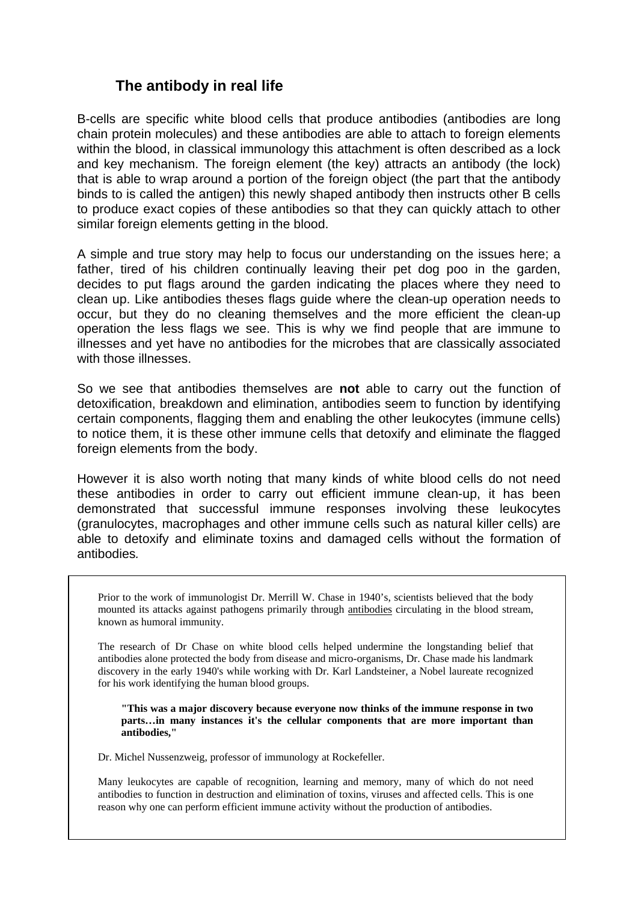## **The antibody in real life**

B-cells are specific white blood cells that produce antibodies (antibodies are long chain protein molecules) and these antibodies are able to attach to foreign elements within the blood, in classical immunology this attachment is often described as a lock and key mechanism. The foreign element (the key) attracts an antibody (the lock) that is able to wrap around a portion of the foreign object (the part that the antibody binds to is called the antigen) this newly shaped antibody then instructs other B cells to produce exact copies of these antibodies so that they can quickly attach to other similar foreign elements getting in the blood.

A simple and true story may help to focus our understanding on the issues here; a father, tired of his children continually leaving their pet dog poo in the garden, decides to put flags around the garden indicating the places where they need to clean up. Like antibodies theses flags guide where the clean-up operation needs to occur, but they do no cleaning themselves and the more efficient the clean-up operation the less flags we see. This is why we find people that are immune to illnesses and yet have no antibodies for the microbes that are classically associated with those illnesses.

So we see that antibodies themselves are **not** able to carry out the function of detoxification, breakdown and elimination, antibodies seem to function by identifying certain components, flagging them and enabling the other leukocytes (immune cells) to notice them, it is these other immune cells that detoxify and eliminate the flagged foreign elements from the body.

However it is also worth noting that many kinds of white blood cells do not need these antibodies in order to carry out efficient immune clean-up, it has been demonstrated that successful immune responses involving these leukocytes (granulocytes, macrophages and other immune cells such as natural killer cells) are able to detoxify and eliminate toxins and damaged cells without the formation of antibodies*.* 

Prior to the work of immunologist Dr. Merrill W. Chase in 1940's, scientists believed that the body mounted its attacks against pathogens primarily through antibodies circulating in the blood stream, known as humoral immunity.

The research of Dr Chase on white blood cells helped undermine the longstanding belief that antibodies alone protected the body from disease and micro-organisms, Dr. Chase made his landmark discovery in the early 1940's while working with Dr. Karl Landsteiner, a Nobel laureate recognized for his work identifying the human blood groups.

**"This was a major discovery because everyone now thinks of the immune response in two parts…in many instances it's the cellular components that are more important than antibodies,"** 

Dr. Michel Nussenzweig, professor of immunology at Rockefeller.

Many leukocytes are capable of recognition, learning and memory, many of which do not need antibodies to function in destruction and elimination of toxins, viruses and affected cells. This is one reason why one can perform efficient immune activity without the production of antibodies.